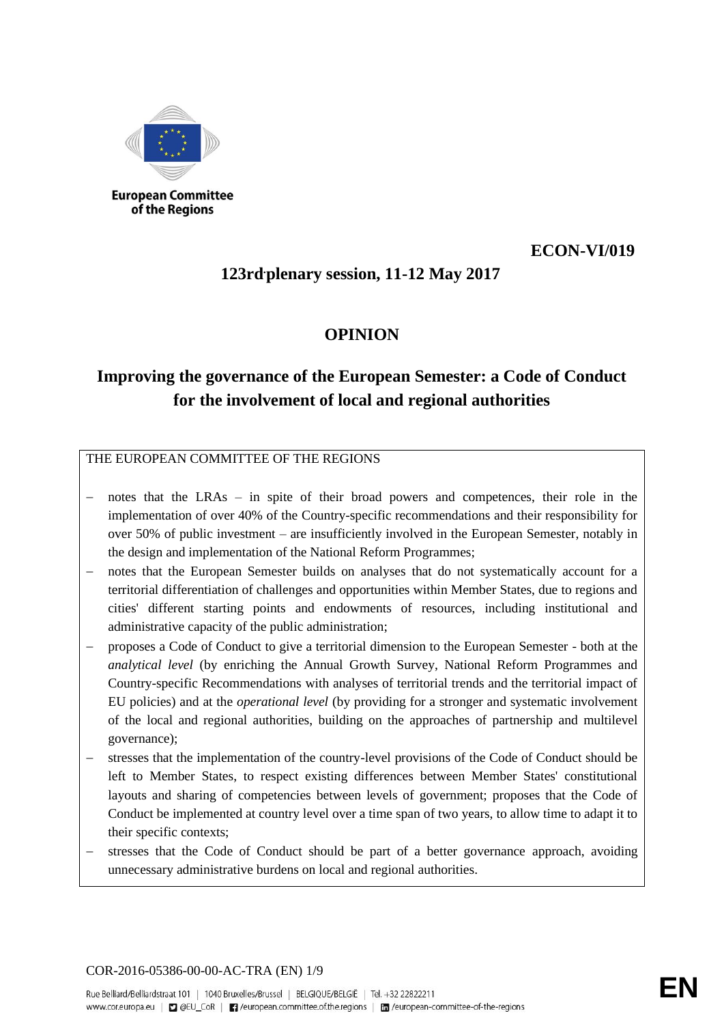

**European Committee** of the Regions

## **ECON-VI/019**

# **123rd.plenary session, 11-12 May 2017**

## **OPINION**

# **Improving the governance of the European Semester: a Code of Conduct for the involvement of local and regional authorities**

THE EUROPEAN COMMITTEE OF THE REGIONS

- notes that the LRAs in spite of their broad powers and competences, their role in the implementation of over 40% of the Country-specific recommendations and their responsibility for over 50% of public investment – are insufficiently involved in the European Semester, notably in the design and implementation of the National Reform Programmes;
- notes that the European Semester builds on analyses that do not systematically account for a territorial differentiation of challenges and opportunities within Member States, due to regions and cities' different starting points and endowments of resources, including institutional and administrative capacity of the public administration;
- − proposes a Code of Conduct to give a territorial dimension to the European Semester both at the *analytical level* (by enriching the Annual Growth Survey, National Reform Programmes and Country-specific Recommendations with analyses of territorial trends and the territorial impact of EU policies) and at the *operational level* (by providing for a stronger and systematic involvement of the local and regional authorities, building on the approaches of partnership and multilevel governance);
- stresses that the implementation of the country-level provisions of the Code of Conduct should be left to Member States, to respect existing differences between Member States' constitutional layouts and sharing of competencies between levels of government; proposes that the Code of Conduct be implemented at country level over a time span of two years, to allow time to adapt it to their specific contexts;
- stresses that the Code of Conduct should be part of a better governance approach, avoiding unnecessary administrative burdens on local and regional authorities.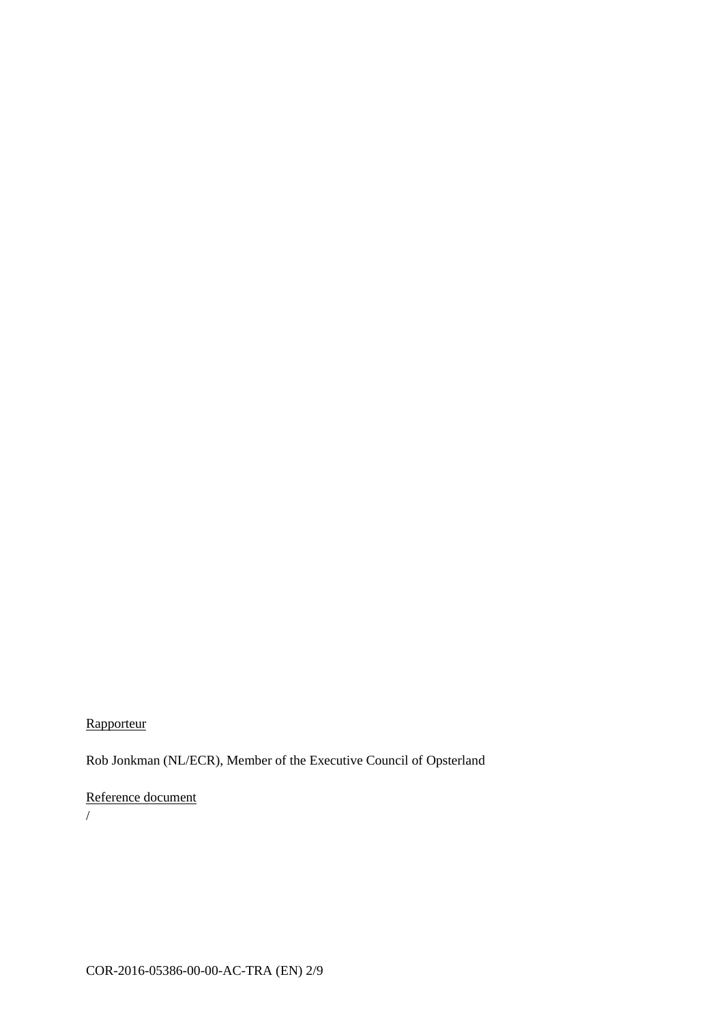## **Rapporteur**

Rob Jonkman (NL/ECR), Member of the Executive Council of Opsterland

## Reference document

/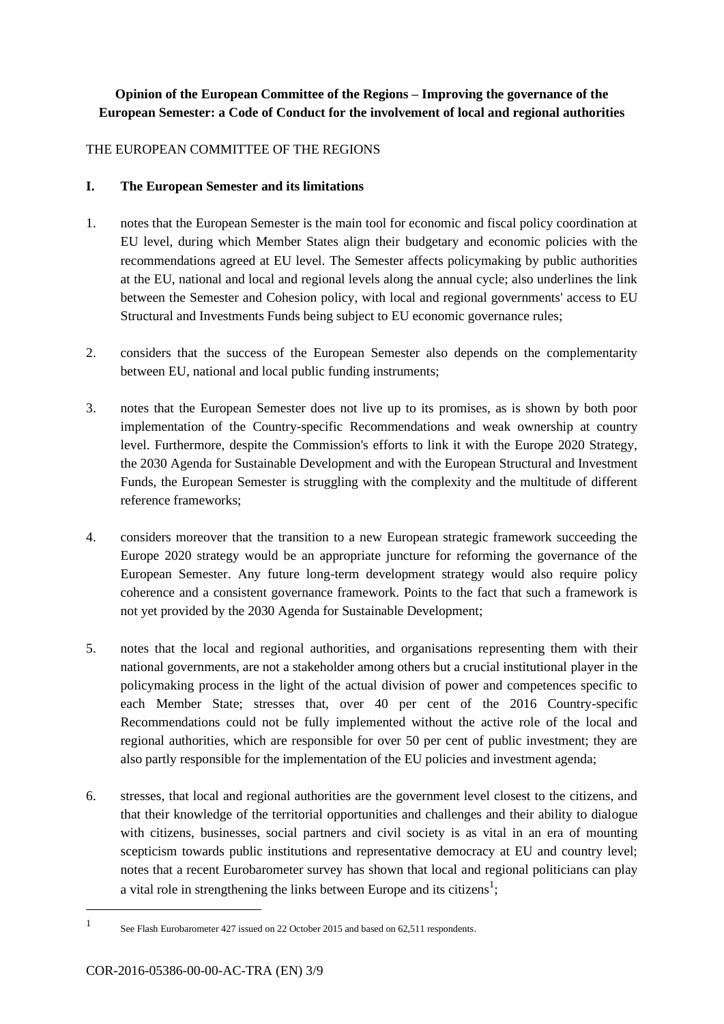## **Opinion of the European Committee of the Regions – Improving the governance of the European Semester: a Code of Conduct for the involvement of local and regional authorities**

#### THE EUROPEAN COMMITTEE OF THE REGIONS

#### **I. The European Semester and its limitations**

- 1. notes that the European Semester is the main tool for economic and fiscal policy coordination at EU level, during which Member States align their budgetary and economic policies with the recommendations agreed at EU level. The Semester affects policymaking by public authorities at the EU, national and local and regional levels along the annual cycle; also underlines the link between the Semester and Cohesion policy, with local and regional governments' access to EU Structural and Investments Funds being subject to EU economic governance rules;
- 2. considers that the success of the European Semester also depends on the complementarity between EU, national and local public funding instruments;
- 3. notes that the European Semester does not live up to its promises, as is shown by both poor implementation of the Country-specific Recommendations and weak ownership at country level. Furthermore, despite the Commission's efforts to link it with the Europe 2020 Strategy, the 2030 Agenda for Sustainable Development and with the European Structural and Investment Funds, the European Semester is struggling with the complexity and the multitude of different reference frameworks;
- 4. considers moreover that the transition to a new European strategic framework succeeding the Europe 2020 strategy would be an appropriate juncture for reforming the governance of the European Semester. Any future long-term development strategy would also require policy coherence and a consistent governance framework. Points to the fact that such a framework is not yet provided by the 2030 Agenda for Sustainable Development;
- 5. notes that the local and regional authorities, and organisations representing them with their national governments, are not a stakeholder among others but a crucial institutional player in the policymaking process in the light of the actual division of power and competences specific to each Member State; stresses that, over 40 per cent of the 2016 Country-specific Recommendations could not be fully implemented without the active role of the local and regional authorities, which are responsible for over 50 per cent of public investment; they are also partly responsible for the implementation of the EU policies and investment agenda;
- 6. stresses, that local and regional authorities are the government level closest to the citizens, and that their knowledge of the territorial opportunities and challenges and their ability to dialogue with citizens, businesses, social partners and civil society is as vital in an era of mounting scepticism towards public institutions and representative democracy at EU and country level; notes that a recent Eurobarometer survey has shown that local and regional politicians can play a vital role in strengthening the links between Europe and its citizens<sup>1</sup>;

<sup>1</sup> See Flash Eurobarometer 427 issued on 22 October 2015 and based on 62,511 respondents.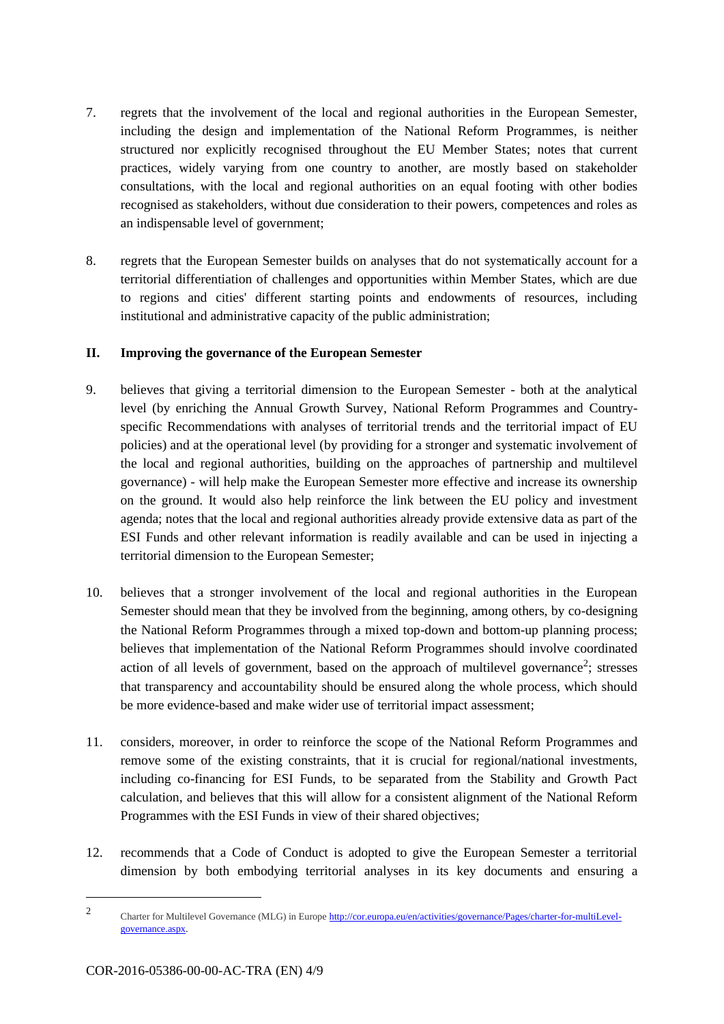- 7. regrets that the involvement of the local and regional authorities in the European Semester, including the design and implementation of the National Reform Programmes, is neither structured nor explicitly recognised throughout the EU Member States; notes that current practices, widely varying from one country to another, are mostly based on stakeholder consultations, with the local and regional authorities on an equal footing with other bodies recognised as stakeholders, without due consideration to their powers, competences and roles as an indispensable level of government;
- 8. regrets that the European Semester builds on analyses that do not systematically account for a territorial differentiation of challenges and opportunities within Member States, which are due to regions and cities' different starting points and endowments of resources, including institutional and administrative capacity of the public administration;

#### **II. Improving the governance of the European Semester**

- 9. believes that giving a territorial dimension to the European Semester both at the analytical level (by enriching the Annual Growth Survey, National Reform Programmes and Countryspecific Recommendations with analyses of territorial trends and the territorial impact of EU policies) and at the operational level (by providing for a stronger and systematic involvement of the local and regional authorities, building on the approaches of partnership and multilevel governance) - will help make the European Semester more effective and increase its ownership on the ground. It would also help reinforce the link between the EU policy and investment agenda; notes that the local and regional authorities already provide extensive data as part of the ESI Funds and other relevant information is readily available and can be used in injecting a territorial dimension to the European Semester;
- 10. believes that a stronger involvement of the local and regional authorities in the European Semester should mean that they be involved from the beginning, among others, by co-designing the National Reform Programmes through a mixed top-down and bottom-up planning process; believes that implementation of the National Reform Programmes should involve coordinated action of all levels of government, based on the approach of multilevel governance<sup>2</sup>; stresses that transparency and accountability should be ensured along the whole process, which should be more evidence-based and make wider use of territorial impact assessment;
- 11. considers, moreover, in order to reinforce the scope of the National Reform Programmes and remove some of the existing constraints, that it is crucial for regional/national investments, including co-financing for ESI Funds, to be separated from the Stability and Growth Pact calculation, and believes that this will allow for a consistent alignment of the National Reform Programmes with the ESI Funds in view of their shared objectives;
- 12. recommends that a Code of Conduct is adopted to give the European Semester a territorial dimension by both embodying territorial analyses in its key documents and ensuring a

<sup>2</sup> Charter for Multilevel Governance (MLG) in Europe [http://cor.europa.eu/en/activities/governance/Pages/charter-for-multiLevel](http://cor.europa.eu/en/activities/governance/Pages/charter-for-multiLevel-governance.aspx)[governance.aspx.](http://cor.europa.eu/en/activities/governance/Pages/charter-for-multiLevel-governance.aspx)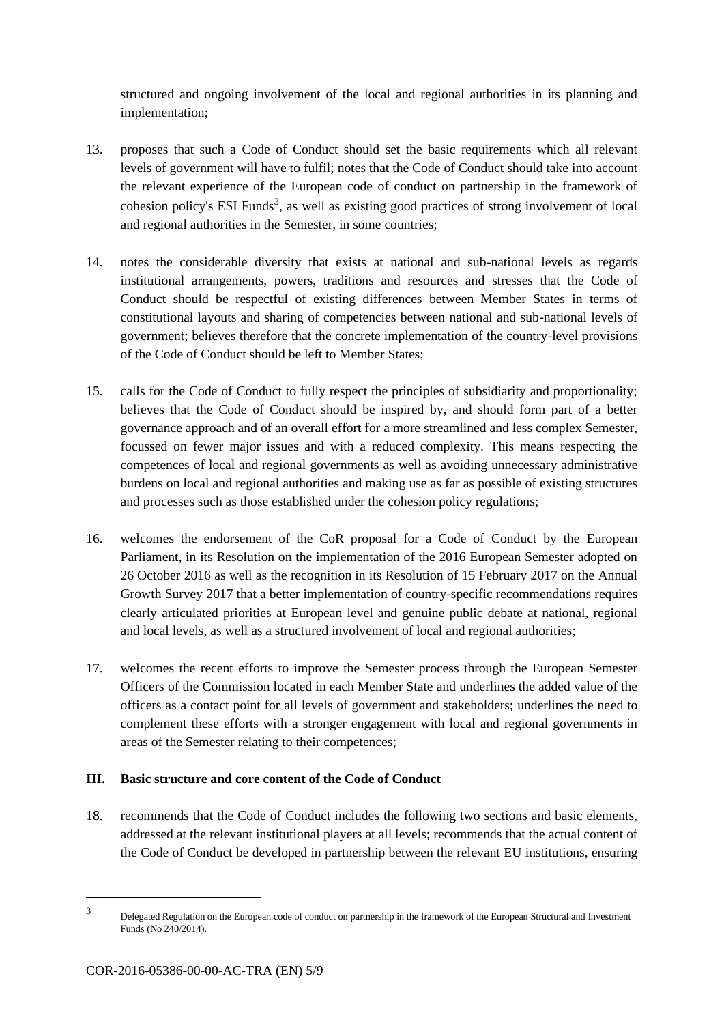structured and ongoing involvement of the local and regional authorities in its planning and implementation;

- 13. proposes that such a Code of Conduct should set the basic requirements which all relevant levels of government will have to fulfil; notes that the Code of Conduct should take into account the relevant experience of the European code of conduct on partnership in the framework of cohesion policy's ESI Funds<sup>3</sup>, as well as existing good practices of strong involvement of local and regional authorities in the Semester, in some countries;
- 14. notes the considerable diversity that exists at national and sub-national levels as regards institutional arrangements, powers, traditions and resources and stresses that the Code of Conduct should be respectful of existing differences between Member States in terms of constitutional layouts and sharing of competencies between national and sub-national levels of government; believes therefore that the concrete implementation of the country-level provisions of the Code of Conduct should be left to Member States;
- 15. calls for the Code of Conduct to fully respect the principles of subsidiarity and proportionality; believes that the Code of Conduct should be inspired by, and should form part of a better governance approach and of an overall effort for a more streamlined and less complex Semester, focussed on fewer major issues and with a reduced complexity. This means respecting the competences of local and regional governments as well as avoiding unnecessary administrative burdens on local and regional authorities and making use as far as possible of existing structures and processes such as those established under the cohesion policy regulations;
- 16. welcomes the endorsement of the CoR proposal for a Code of Conduct by the European Parliament, in its Resolution on the implementation of the 2016 European Semester adopted on 26 October 2016 as well as the recognition in its Resolution of 15 February 2017 on the Annual Growth Survey 2017 that a better implementation of country-specific recommendations requires clearly articulated priorities at European level and genuine public debate at national, regional and local levels, as well as a structured involvement of local and regional authorities;
- 17. welcomes the recent efforts to improve the Semester process through the European Semester Officers of the Commission located in each Member State and underlines the added value of the officers as a contact point for all levels of government and stakeholders; underlines the need to complement these efforts with a stronger engagement with local and regional governments in areas of the Semester relating to their competences;

#### **III. Basic structure and core content of the Code of Conduct**

18. recommends that the Code of Conduct includes the following two sections and basic elements, addressed at the relevant institutional players at all levels; recommends that the actual content of the Code of Conduct be developed in partnership between the relevant EU institutions, ensuring

<sup>3</sup> Delegated Regulation on the European code of conduct on partnership in the framework of the European Structural and Investment Funds (No 240/2014).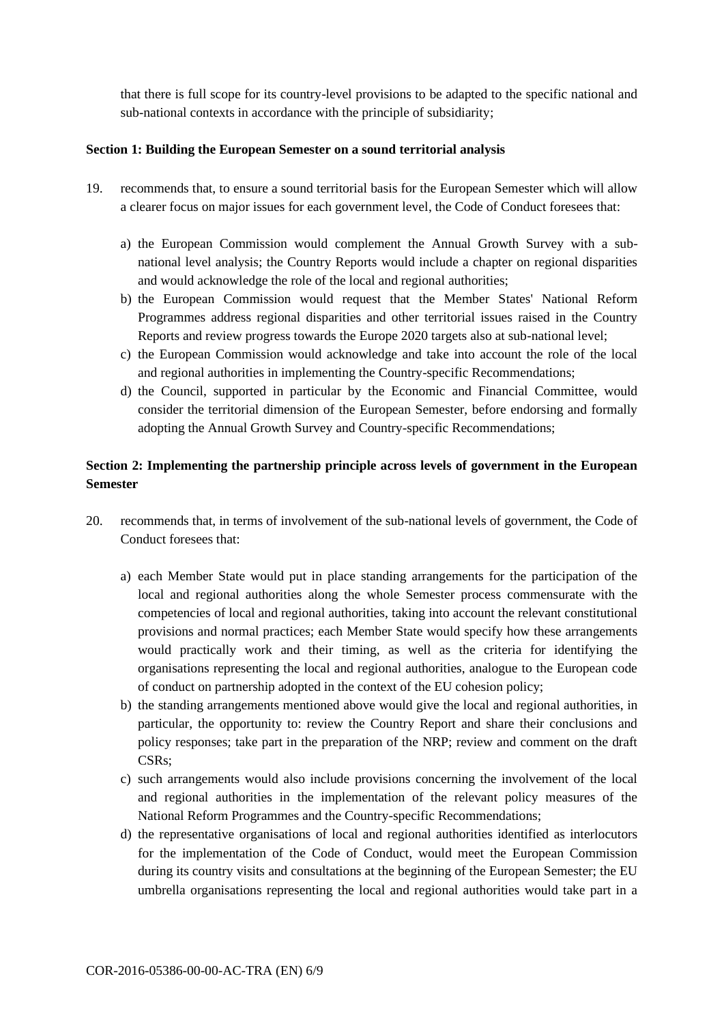that there is full scope for its country-level provisions to be adapted to the specific national and sub-national contexts in accordance with the principle of subsidiarity;

#### **Section 1: Building the European Semester on a sound territorial analysis**

- 19. recommends that, to ensure a sound territorial basis for the European Semester which will allow a clearer focus on major issues for each government level, the Code of Conduct foresees that:
	- a) the European Commission would complement the Annual Growth Survey with a subnational level analysis; the Country Reports would include a chapter on regional disparities and would acknowledge the role of the local and regional authorities;
	- b) the European Commission would request that the Member States' National Reform Programmes address regional disparities and other territorial issues raised in the Country Reports and review progress towards the Europe 2020 targets also at sub-national level;
	- c) the European Commission would acknowledge and take into account the role of the local and regional authorities in implementing the Country-specific Recommendations;
	- d) the Council, supported in particular by the Economic and Financial Committee, would consider the territorial dimension of the European Semester, before endorsing and formally adopting the Annual Growth Survey and Country-specific Recommendations;

### **Section 2: Implementing the partnership principle across levels of government in the European Semester**

- 20. recommends that, in terms of involvement of the sub-national levels of government, the Code of Conduct foresees that:
	- a) each Member State would put in place standing arrangements for the participation of the local and regional authorities along the whole Semester process commensurate with the competencies of local and regional authorities, taking into account the relevant constitutional provisions and normal practices; each Member State would specify how these arrangements would practically work and their timing, as well as the criteria for identifying the organisations representing the local and regional authorities, analogue to the European code of conduct on partnership adopted in the context of the EU cohesion policy;
	- b) the standing arrangements mentioned above would give the local and regional authorities, in particular, the opportunity to: review the Country Report and share their conclusions and policy responses; take part in the preparation of the NRP; review and comment on the draft CSRs;
	- c) such arrangements would also include provisions concerning the involvement of the local and regional authorities in the implementation of the relevant policy measures of the National Reform Programmes and the Country-specific Recommendations;
	- d) the representative organisations of local and regional authorities identified as interlocutors for the implementation of the Code of Conduct, would meet the European Commission during its country visits and consultations at the beginning of the European Semester; the EU umbrella organisations representing the local and regional authorities would take part in a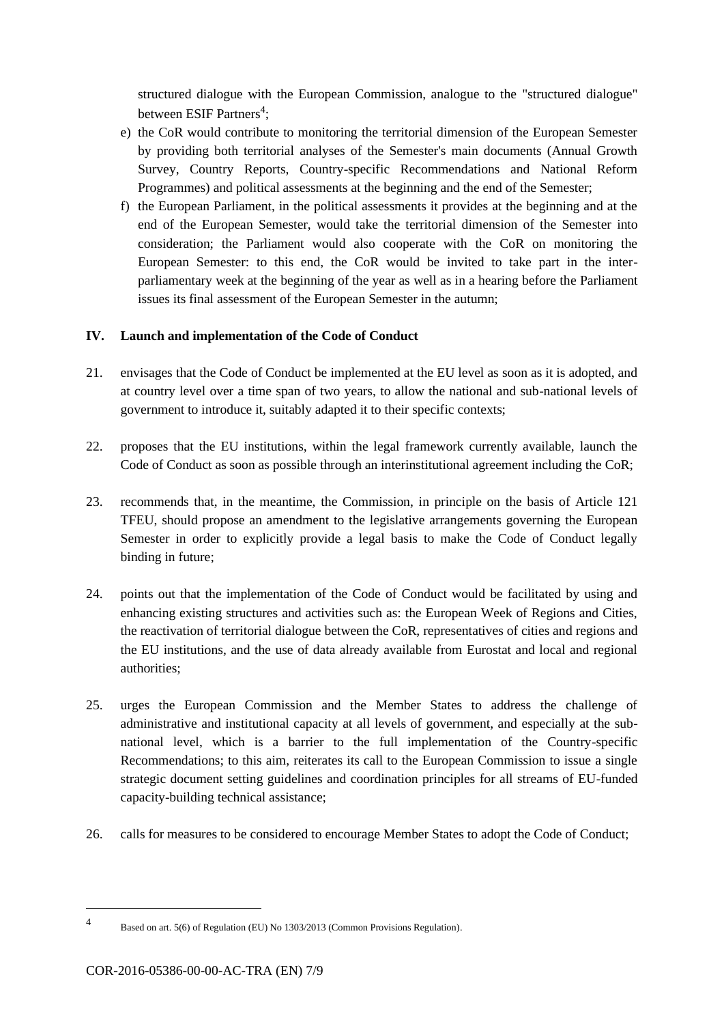structured dialogue with the European Commission, analogue to the "structured dialogue" between ESIF Partners<sup>4</sup>;

- e) the CoR would contribute to monitoring the territorial dimension of the European Semester by providing both territorial analyses of the Semester's main documents (Annual Growth Survey, Country Reports, Country-specific Recommendations and National Reform Programmes) and political assessments at the beginning and the end of the Semester;
- f) the European Parliament, in the political assessments it provides at the beginning and at the end of the European Semester, would take the territorial dimension of the Semester into consideration; the Parliament would also cooperate with the CoR on monitoring the European Semester: to this end, the CoR would be invited to take part in the interparliamentary week at the beginning of the year as well as in a hearing before the Parliament issues its final assessment of the European Semester in the autumn;

#### **IV. Launch and implementation of the Code of Conduct**

- 21. envisages that the Code of Conduct be implemented at the EU level as soon as it is adopted, and at country level over a time span of two years, to allow the national and sub-national levels of government to introduce it, suitably adapted it to their specific contexts;
- 22. proposes that the EU institutions, within the legal framework currently available, launch the Code of Conduct as soon as possible through an interinstitutional agreement including the CoR;
- 23. recommends that, in the meantime, the Commission, in principle on the basis of Article 121 TFEU, should propose an amendment to the legislative arrangements governing the European Semester in order to explicitly provide a legal basis to make the Code of Conduct legally binding in future;
- 24. points out that the implementation of the Code of Conduct would be facilitated by using and enhancing existing structures and activities such as: the European Week of Regions and Cities, the reactivation of territorial dialogue between the CoR, representatives of cities and regions and the EU institutions, and the use of data already available from Eurostat and local and regional authorities;
- 25. urges the European Commission and the Member States to address the challenge of administrative and institutional capacity at all levels of government, and especially at the subnational level, which is a barrier to the full implementation of the Country-specific Recommendations; to this aim, reiterates its call to the European Commission to issue a single strategic document setting guidelines and coordination principles for all streams of EU-funded capacity-building technical assistance;
- 26. calls for measures to be considered to encourage Member States to adopt the Code of Conduct;

<sup>4</sup> Based on art. 5(6) of Regulation (EU) No 1303/2013 (Common Provisions Regulation).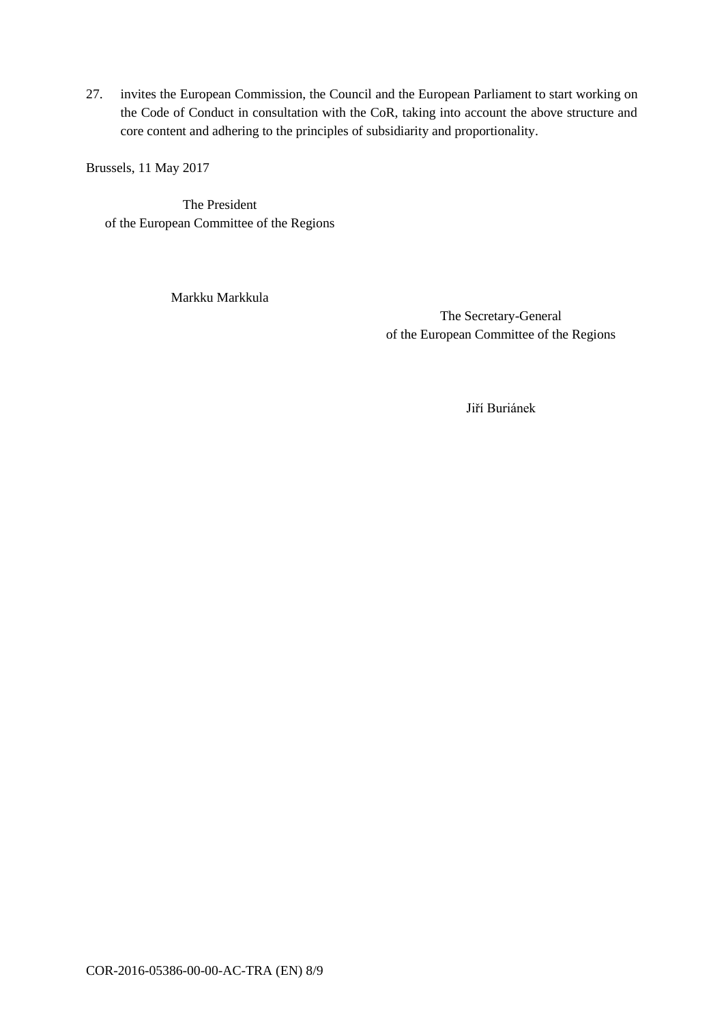27. invites the European Commission, the Council and the European Parliament to start working on the Code of Conduct in consultation with the CoR, taking into account the above structure and core content and adhering to the principles of subsidiarity and proportionality.

Brussels, 11 May 2017

The President of the European Committee of the Regions

Markku Markkula

The Secretary-General of the European Committee of the Regions

Jiří Buriánek